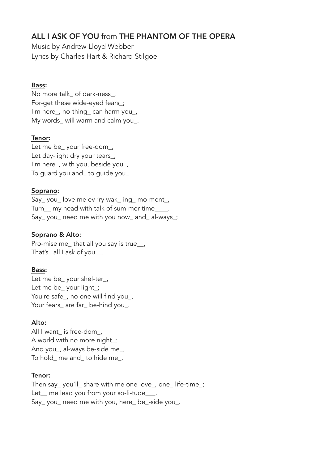# ALL I ASK OF YOU from THE PHANTOM OF THE OPERA

Music by Andrew Lloyd Webber Lyrics by Charles Hart & Richard Stilgoe

#### Bass:

No more talk of dark-ness, For-get these wide-eyed fears\_; I'm here\_, no-thing\_ can harm you\_, My words will warm and calm you.

#### Tenor:

Let me be\_ your free-dom\_, Let day-light dry your tears ; I'm here\_, with you, beside you\_, To guard you and\_ to guide you\_.

#### Soprano:

Say\_ you\_ love me ev-'ry wak\_-ing\_ mo-ment\_, Turn my head with talk of sum-mer-time . Say\_ you\_ need me with you now\_ and\_ al-ways\_;

## Soprano & Alto:

Pro-mise me\_that all you say is true \_\_, That's all I ask of you.

## Bass:

Let me be your shel-ter, Let me be\_ your light\_; You're safe\_, no one will find you\_, Your fears\_ are far\_ be-hind you\_.

## Alto:

All I want is free-dom, A world with no more night ; And you\_, al-ways be-side me\_, To hold\_ me and\_ to hide me\_.

#### Tenor:

Then say\_ you'll\_ share with me one love\_, one\_ life-time\_; Let me lead you from your so-li-tude Say you need me with you, here be-side you.